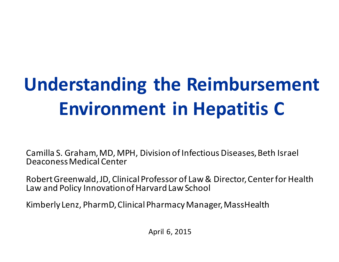# **Understanding the Reimbursement Environment in Hepatitis C**

Camilla S. Graham, MD, MPH, Division of Infectious Diseases, Beth Israel Deaconess Medical Center

Robert Greenwald, JD, Clinical Professor of Law & Director, Center for Health Law and Policy Innovation of Harvard Law School

Kimberly Lenz, PharmD, Clinical Pharmacy Manager, MassHealth

April 6, 2015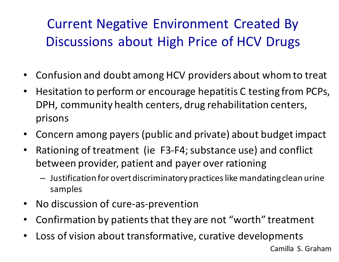## Current Negative Environment Created By Discussions about High Price of HCV Drugs

- Confusion and doubt among HCV providers about whom to treat
- Hesitation to perform or encourage hepatitis C testing from PCPs, DPH, community health centers, drug rehabilitation centers, prisons
- Concern among payers (public and private) about budget impact
- Rationing of treatment (ie F3-F4; substance use) and conflict between provider, patient and payer over rationing
	- Justification for overt discriminatory practices like mandating clean urine samples
- No discussion of cure-as-prevention
- Confirmation by patients that they are not "worth" treatment
- Loss of vision about transformative, curative developments

Camilla S. Graham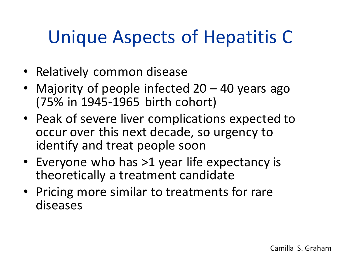# Unique Aspects of Hepatitis C

- Relatively common disease
- Majority of people infected 20 40 years ago (75% in 1945-1965 birth cohort)
- Peak of severe liver complications expected to occur over this next decade, so urgency to identify and treat people soon
- Everyone who has >1 year life expectancy is theoretically a treatment candidate
- Pricing more similar to treatments for rare diseases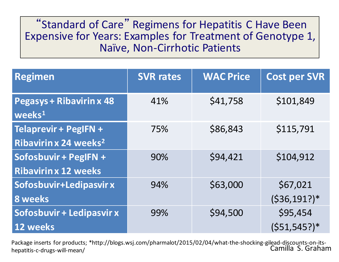#### "Standard of Care" Regimens for Hepatitis C Have Been Expensive for Years: Examples for Treatment of Genotype 1, Naïve, Non-Cirrhotic Patients

| <b>Regimen</b>                                             | <b>SVR rates</b> | <b>WAC Price</b> | <b>Cost per SVR</b>         |
|------------------------------------------------------------|------------------|------------------|-----------------------------|
| <b>Pegasys + Ribavirin x 48</b><br>$wee$ ks <sup>1</sup>   | 41%              | \$41,758         | \$101,849                   |
| Telaprevir + PegIFN +<br>Ribavirin x 24 weeks <sup>2</sup> | 75%              | \$86,843         | \$115,791                   |
| Sofosbuvir + PegIFN +<br><b>Ribavirin x 12 weeks</b>       | 90%              | \$94,421         | \$104,912                   |
| Sofosbuvir+Ledipasvir x<br><b>8 weeks</b>                  | 94%              | \$63,000         | \$67,021<br>$(536, 191?)$ * |
| Sofosbuvir + Ledipasvir x<br>12 weeks                      | 99%              | \$94,500         | \$95,454<br>$(551, 545?)$ * |

Package inserts for products; \*http://blogs.wsj.com/pharmalot/2015/02/04/what-the-shocking-gilead-discounts-on-itshepatitis-c-drugs-will-mean/ Camilla S. Graham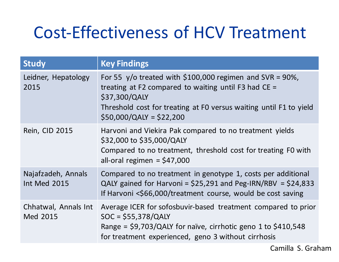## Cost-Effectiveness of HCV Treatment

| <b>Study</b>                              | <b>Key Findings</b>                                                                                                                                                                                                                  |
|-------------------------------------------|--------------------------------------------------------------------------------------------------------------------------------------------------------------------------------------------------------------------------------------|
| Leidner, Hepatology<br>2015               | For 55 y/o treated with \$100,000 regimen and SVR = 90%,<br>treating at F2 compared to waiting until F3 had $CE =$<br>\$37,300/QALY<br>Threshold cost for treating at F0 versus waiting until F1 to yield<br>$$50,000/QAV = $22,200$ |
| Rein, CID 2015                            | Harvoni and Viekira Pak compared to no treatment yields<br>\$32,000 to \$35,000/QALY<br>Compared to no treatment, threshold cost for treating FO with<br>all-oral regimen = $$47,000$                                                |
| Najafzadeh, Annals<br><b>Int Med 2015</b> | Compared to no treatment in genotype 1, costs per additional<br>QALY gained for Harvoni = $$25,291$ and Peg-IRN/RBV = $$24,833$<br>If Harvoni <\$66,000/treatment course, would be cost saving                                       |
| Chhatwal, Annals Int<br>Med 2015          | Average ICER for sofosbuvir-based treatment compared to prior<br>$SOC = $55,378/QAV$<br>Range = $$9,703/QALY$ for naïve, cirrhotic geno 1 to $$410,548$<br>for treatment experienced, geno 3 without cirrhosis                       |

Camilla S. Graham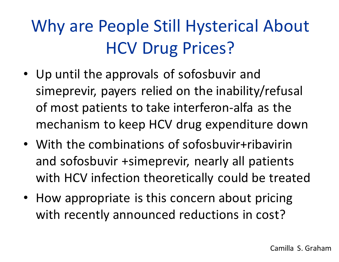# Why are People Still Hysterical About HCV Drug Prices?

- Up until the approvals of sofosbuvir and simeprevir, payers relied on the inability/refusal of most patients to take interferon-alfa as the mechanism to keep HCV drug expenditure down
- With the combinations of sofosbuvir+ribavirin and sofosbuvir +simeprevir, nearly all patients with HCV infection theoretically could be treated
- How appropriate is this concern about pricing with recently announced reductions in cost?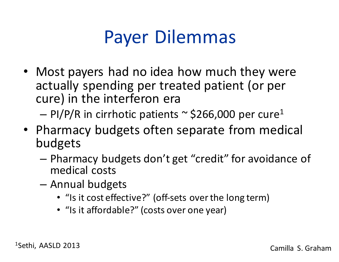# Payer Dilemmas

• Most payers had no idea how much they were actually spending per treated patient (or per cure) in the interferon era

 $-$  PI/P/R in cirrhotic patients  $\sim$  \$266,000 per cure<sup>1</sup>

- Pharmacy budgets often separate from medical budgets
	- Pharmacy budgets don't get "credit" for avoidance of medical costs
	- Annual budgets
		- "Is it cost effective?" (off-sets over the long term)
		- "Is it affordable?" (costs over one year)

1Sethi, AASLD 2013 Camilla S. Graham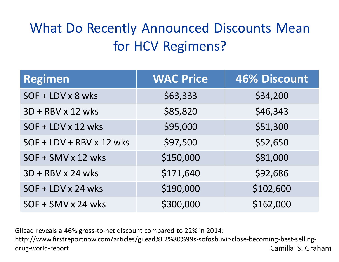## What Do Recently Announced Discounts Mean for HCV Regimens?

| <b>Regimen</b>                  | <b>WAC Price</b> | <b>46% Discount</b> |
|---------------------------------|------------------|---------------------|
| SOF + LDV x 8 wks               | \$63,333         | \$34,200            |
| 3D + RBV x 12 wks               | \$85,820         | \$46,343            |
| SOF + LDV x 12 wks              | \$95,000         | \$51,300            |
| $SOF + LDV + RBV \times 12$ wks | \$97,500         | \$52,650            |
| SOF + SMV x 12 wks              | \$150,000        | \$81,000            |
| 3D + RBV x 24 wks               | \$171,640        | \$92,686            |
| SOF + LDV x 24 wks              | \$190,000        | \$102,600           |
| SOF + SMV x 24 wks              | \$300,000        | \$162,000           |

Gilead reveals a 46% gross-to-net discount compared to 22% in 2014:

http://www.firstreportnow.com/articles/gilead%E2%80%99s-sofosbuvir-close-becoming-best-sellingdrug-world-report Camilla S. Graham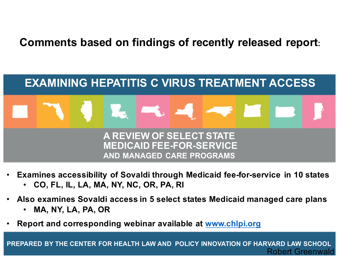#### **Comments based on findings of recently released report:**



- **Examines accessibility of Sovaldi through Medicaid fee-for-service in 10 states**
	- **CO, FL, IL, LA, MA, NY, NC, OR, PA, RI**
- **Also examines Sovaldi access in 5 select states Medicaid managed care plans**
	- **MA, NY, LA, PA, OR**
- **Report and corresponding webinar available at www.chlpi.org**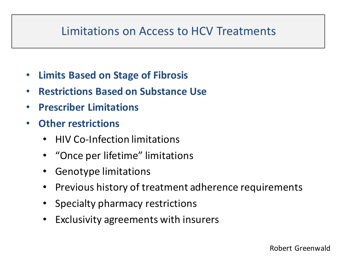#### Limitations on Access to HCV Treatments

- **Limits Based on Stage of Fibrosis**
- **Restrictions Based on Substance Use**
- **Prescriber Limitations**
- **Other restrictions**
	- HIV Co-Infection limitations
	- "Once per lifetime" limitations
	- Genotype limitations
	- Previous history of treatment adherence requirements
	- Specialty pharmacy restrictions
	- Exclusivity agreements with insurers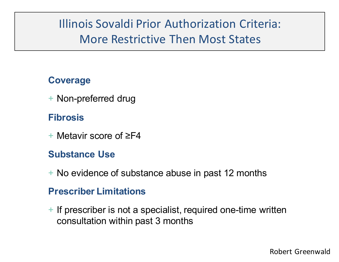## Illinois Sovaldi Prior Authorization Criteria: More Restrictive Then Most States

#### **Coverage**

+ Non-preferred drug

#### **Fibrosis**

+ Metavir score of ≥F4

#### **Substance Use**

+ No evidence of substance abuse in past 12 months

#### **Prescriber Limitations**

+ If prescriber is not a specialist, required one-time written consultation within past 3 months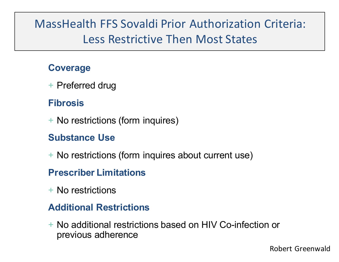## MassHealth FFS Sovaldi Prior Authorization Criteria: Less Restrictive Then Most States

#### **Coverage**

+ Preferred drug

#### **Fibrosis**

+ No restrictions (form inquires)

#### **Substance Use**

+ No restrictions (form inquires about current use)

#### **Prescriber Limitations**

+ No restrictions

#### **Additional Restrictions**

+ No additional restrictions based on HIV Co-infection or previous adherence

Robert Greenwald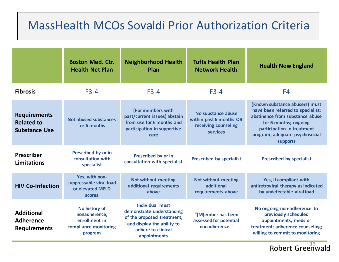### MassHealth MCOs Sovaldi Prior Authorization Criteria

|                                                                  | <b>Boston Med. Ctr.</b><br><b>Health Net Plan</b>                                   | <b>Neighborhood Health</b><br>Plan                                                                                                                    | <b>Tufts Health Plan</b><br><b>Network Health</b>                                 | <b>Health New England</b>                                                                                                                                                                                   |
|------------------------------------------------------------------|-------------------------------------------------------------------------------------|-------------------------------------------------------------------------------------------------------------------------------------------------------|-----------------------------------------------------------------------------------|-------------------------------------------------------------------------------------------------------------------------------------------------------------------------------------------------------------|
| <b>Fibrosis</b>                                                  | $F3-4$                                                                              | $F3-4$                                                                                                                                                | $F3-4$                                                                            | F4                                                                                                                                                                                                          |
| <b>Requirements</b><br><b>Related to</b><br><b>Substance Use</b> | <b>Not abused substances</b><br>for 6 months                                        | (For members with<br>past/current issues) abstain<br>from use for 6 months and<br>participation in supportive<br>care                                 | No substance abuse<br>within past 6 months OR<br>receiving counseling<br>services | (Known substance abusers) must<br>have been referred to specialist;<br>abstinence from substance abuse<br>for 6 months; ongoing<br>participation in treatment<br>program; adequate psychosocial<br>supports |
| <b>Prescriber</b><br><b>Limitations</b>                          | Prescribed by or in<br>consultation with<br>specialist                              | Prescribed by or in<br>consultation with specialist                                                                                                   | <b>Prescribed by specialist</b>                                                   | <b>Prescribed by specialist</b>                                                                                                                                                                             |
| <b>HIV Co-Infection</b>                                          | Yes, with non-<br>suppressable viral load<br>or elevated MELD<br><b>scores</b>      | <b>Not without meeting</b><br>additional requirements<br>above                                                                                        | <b>Not without meeting</b><br>additional<br>requirements above                    | Yes, if compliant with<br>antiretroviral therapy as indicated<br>by undetectable viral load                                                                                                                 |
| <b>Additional</b><br><b>Adherence</b><br><b>Requirements</b>     | No history of<br>nonadherence;<br>enrollment in<br>compliance monitoring<br>program | <b>Individual must</b><br>demonstrate understanding<br>of the proposed treatment,<br>and display the ability to<br>adhere to clinical<br>appointments | "[M]ember has been<br>assessed for potential<br>nonadherence."                    | No ongoing non-adherence to<br>previously scheduled<br>appointments, meds or<br>treatment; adherence counseling;<br>willing to commit to monitoring                                                         |

Robert Greenwald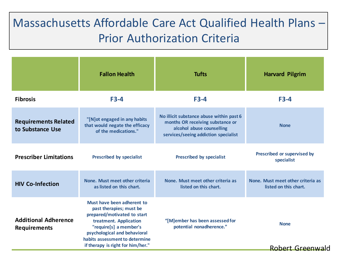## Massachusetts Affordable Care Act Qualified Health Plans – Prior Authorization Criteria

|                                                    | <b>Fallon Health</b>                                                                                                                                                                                       | <b>Tufts</b>                                                                                                                                      | <b>Harvard Pilgrim</b>                                     |
|----------------------------------------------------|------------------------------------------------------------------------------------------------------------------------------------------------------------------------------------------------------------|---------------------------------------------------------------------------------------------------------------------------------------------------|------------------------------------------------------------|
| <b>Fibrosis</b>                                    | $F3-4$                                                                                                                                                                                                     | $F3-4$                                                                                                                                            | $F3-4$                                                     |
| <b>Requirements Related</b><br>to Substance Use    | "[N] ot engaged in any habits<br>that would negate the efficacy<br>of the medications."                                                                                                                    | No illicit substance abuse within past 6<br>months OR receiving substance or<br>alcohol abuse counselling<br>services/seeing addiction specialist | <b>None</b>                                                |
| <b>Prescriber Limitations</b>                      | <b>Prescribed by specialist</b>                                                                                                                                                                            | <b>Prescribed by specialist</b>                                                                                                                   | Prescribed or supervised by<br>specialist                  |
| <b>HIV Co-Infection</b>                            | None. Must meet other criteria<br>as listed on this chart.                                                                                                                                                 | None. Must meet other criteria as<br>listed on this chart.                                                                                        | None. Must meet other criteria as<br>listed on this chart. |
| <b>Additional Adherence</b><br><b>Requirements</b> | Must have been adherent to<br>past therapies; must be<br>prepared/motivated to start<br>treatment. Application<br>"require[s] a member's<br>psychological and behavioral<br>habits assessment to determine | "[M]ember has been assessed for<br>potential nonadherence."                                                                                       | <b>None</b>                                                |
|                                                    | if therapy is right for him/her."                                                                                                                                                                          |                                                                                                                                                   | Robert Greenwald                                           |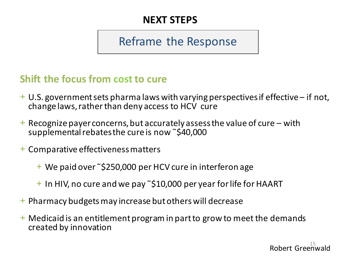#### **NEXT STEPS**

### Reframe the Response

#### **Shift the focus from cost to cure**

- + U.S. government sets pharma laws with varying perspectives if effective if not, change laws, rather than deny access to HCV cure
- $+$  Recognize payer concerns, but accurately assess the value of cure with supplemental rebates the cure is now ˜\$40,000
- + Comparative effectiveness matters
	- + We paid over ˜\$250,000 per HCV cure in interferon age
	- + In HIV, no cure and we pay ˜\$10,000 per year for life for HAART
- + Pharmacy budgets may increase but others will decrease
- + Medicaid is an entitlement program in part to grow to meet the demands created by innovation

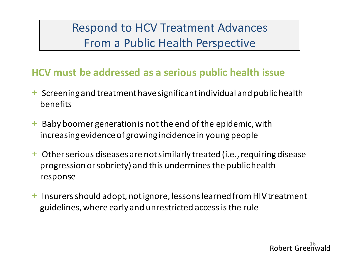Respond to HCV Treatment Advances From a Public Health Perspective

#### **HCV must be addressed as a serious public health issue**

- + Screening and treatment have significant individual and public health benefits
- + Baby boomer generation is not the end of the epidemic, with increasing evidence of growing incidence in young people
- + Other serious diseases are not similarly treated (i.e., requiring disease progression or sobriety) and this undermines the public health response
- + Insurers should adopt, not ignore, lessons learned from HIV treatment guidelines, where early and unrestricted access is the rule

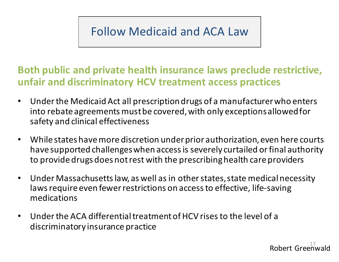## Follow Medicaid and ACA Law

#### **Both public and private health insurance laws preclude restrictive, unfair and discriminatory HCV treatment access practices**

- Under the Medicaid Act all prescription drugs of a manufacturer who enters into rebate agreements must be covered, with only exceptions allowed for safety and clinical effectiveness
- While states have more discretion under prior authorization, even here courts have supported challenges when access is severely curtailed or final authority to provide drugs does not rest with the prescribing health care providers
- Under Massachusetts law, as well as in other states, state medical necessity laws require even fewer restrictions on access to effective, life-saving medications
- Under the ACA differential treatment of HCV rises to the level of a discriminatory insurance practice

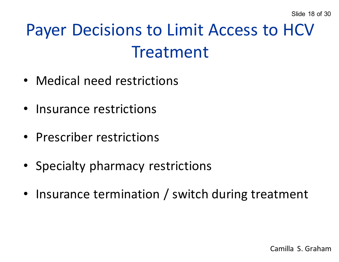# Payer Decisions to Limit Access to HCV Treatment

- Medical need restrictions
- Insurance restrictions
- Prescriber restrictions
- Specialty pharmacy restrictions
- Insurance termination / switch during treatment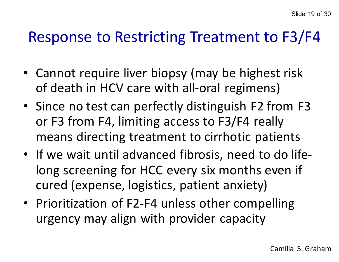## Response to Restricting Treatment to F3/F4

- Cannot require liver biopsy (may be highest risk of death in HCV care with all-oral regimens)
- Since no test can perfectly distinguish F2 from F3 or F3 from F4, limiting access to F3/F4 really means directing treatment to cirrhotic patients
- If we wait until advanced fibrosis, need to do lifelong screening for HCC every six months even if cured (expense, logistics, patient anxiety)
- Prioritization of F2-F4 unless other compelling urgency may align with provider capacity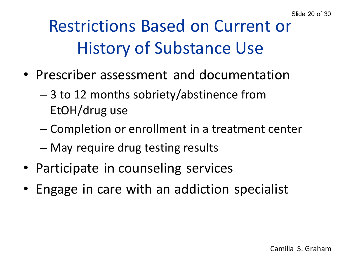# Restrictions Based on Current or History of Substance Use

- Prescriber assessment and documentation
	- 3 to 12 months sobriety/abstinence from EtOH/drug use
	- Completion or enrollment in a treatment center
	- May require drug testing results
- Participate in counseling services
- Engage in care with an addiction specialist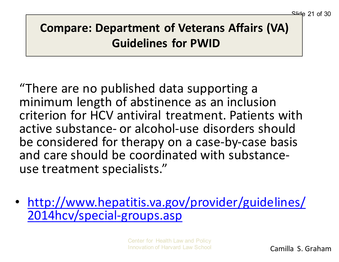## **Compare: Department of Veterans Affairs (VA) Guidelines for PWID**

"There are no published data supporting a minimum length of abstinence as an inclusion criterion for HCV antiviral treatment. Patients with active substance- or alcohol-use disorders should be considered for therapy on a case-by-case basis and care should be coordinated with substanceuse treatment specialists."

• http://www.hepatitis.va.gov/provider/guidelines/ 2014hcv/special-groups.asp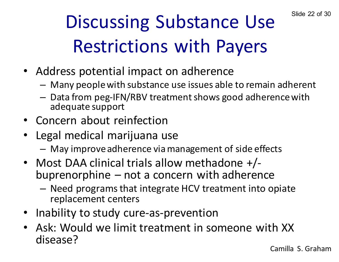# Discussing Substance Use Slide 22 of 30 Restrictions with Payers

- Address potential impact on adherence
	- Many people with substance use issues able to remain adherent
	- Data from peg-IFN/RBV treatment shows good adherence with adequate support
- Concern about reinfection
- Legal medical marijuana use
	- May improve adherence via management of side effects
- Most DAA clinical trials allow methadone +/-<br>buprenorphine not a concern with adherence
	- Need programs that integrate HCV treatment into opiate replacement centers
- Inability to study cure-as-prevention
- Ask: Would we limit treatment in someone with XX disease?

Camilla S. Graham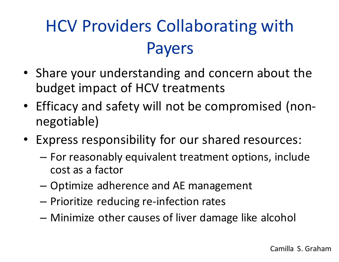# HCV Providers Collaborating with Payers

- Share your understanding and concern about the budget impact of HCV treatments
- Efficacy and safety will not be compromised (nonnegotiable)
- Express responsibility for our shared resources:
	- For reasonably equivalent treatment options, include cost as a factor
	- Optimize adherence and AE management
	- Prioritize reducing re-infection rates
	- Minimize other causes of liver damage like alcohol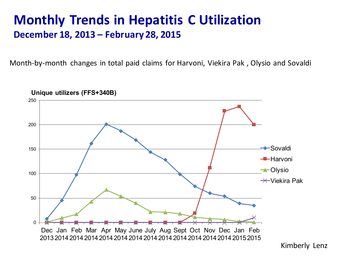### **Monthly Trends in Hepatitis C Utilization December 18, 2013 – February 28, 2015**

Month-by-month changes in total paid claims for Harvoni, Viekira Pak , Olysio and Sovaldi



Kimberly Lenz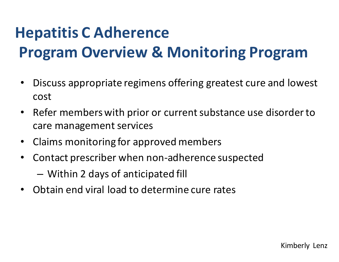## **Hepatitis C Adherence Program Overview & Monitoring Program**

- Discuss appropriate regimens offering greatest cure and lowest cost
- Refer members with prior or current substance use disorder to care management services
- Claims monitoring for approved members
- Contact prescriber when non-adherence suspected
	- Within 2 days of anticipated fill
- Obtain end viral load to determine cure rates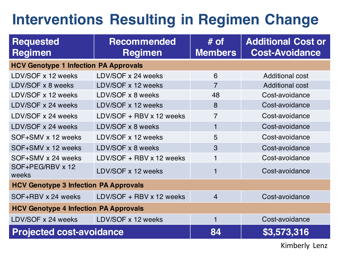## **Interventions Resulting in Regimen Change**

| <b>Requested</b><br><b>Regimen</b>           | <b>Recommended</b><br><b>Regimen</b> | $#$ of<br><b>Members</b> | <b>Additional Cost or</b><br><b>Cost-Avoidance</b> |  |
|----------------------------------------------|--------------------------------------|--------------------------|----------------------------------------------------|--|
| <b>HCV Genotype 1 Infection PA Approvals</b> |                                      |                          |                                                    |  |
| LDV/SOF x 12 weeks                           | LDV/SOF x 24 weeks                   | 6                        | <b>Additional cost</b>                             |  |
| LDV/SOF x 8 weeks                            | LDV/SOF x 12 weeks                   | $\overline{7}$           | <b>Additional cost</b>                             |  |
| LDV/SOF x 12 weeks                           | LDV/SOF x 8 weeks                    | 48                       | Cost-avoidance                                     |  |
| LDV/SOF x 24 weeks                           | LDV/SOF x 12 weeks                   | 8                        | Cost-avoidance                                     |  |
| LDV/SOF x 24 weeks                           | LDV/SOF + RBV x 12 weeks             | $\overline{7}$           | Cost-avoidance                                     |  |
| LDV/SOF x 24 weeks                           | LDV/SOF x 8 weeks                    | 1                        | Cost-avoidance                                     |  |
| SOF+SMV x 12 weeks                           | LDV/SOF x 12 weeks                   | 5                        | Cost-avoidance                                     |  |
| SOF+SMV x 12 weeks                           | LDV/SOF x 8 weeks                    | 3                        | Cost-avoidance                                     |  |
| SOF+SMV x 24 weeks                           | LDV/SOF + RBV x 12 weeks             | 1                        | Cost-avoidance                                     |  |
| SOF+PEG/RBV x 12<br>weeks                    | LDV/SOF x 12 weeks                   | 1                        | Cost-avoidance                                     |  |
| <b>HCV Genotype 3 Infection PA Approvals</b> |                                      |                          |                                                    |  |
| SOF+RBV x 24 weeks                           | LDV/SOF + RBV x 12 weeks             | $\overline{4}$           | Cost-avoidance                                     |  |
| <b>HCV Genotype 4 Infection PA Approvals</b> |                                      |                          |                                                    |  |
| LDV/SOF x 24 weeks                           | LDV/SOF x 12 weeks                   | 1                        | Cost-avoidance                                     |  |
| <b>Projected cost-avoidance</b>              |                                      | 84                       | \$3,573,316                                        |  |

Kimberly Lenz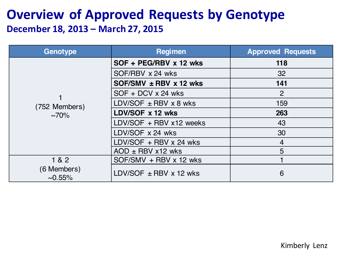### **Overview of Approved Requests by Genotype December 18, 2013 – March 27, 2015**

| Genotype                     | <b>Regimen</b>                  | <b>Approved Requests</b> |
|------------------------------|---------------------------------|--------------------------|
|                              | SOF + PEG/RBV x 12 wks          | 118                      |
|                              | SOF/RBV x 24 wks                | 32                       |
|                              | $SOF/SMV \pm RBV \times 12$ wks | 141                      |
|                              | $SOF + DCV \times 24$ wks       | $\overline{2}$           |
| (752 Members)<br>$\sim 70\%$ | LDV/SOF $\pm$ RBV x 8 wks       | 159                      |
|                              | LDV/SOF x 12 wks                | 263                      |
|                              | LDV/SOF + RBV x12 weeks         | 43                       |
|                              | LDV/SOF $\times$ 24 wks         | 30                       |
|                              | LDV/SOF + RBV x 24 wks          | $\overline{4}$           |
|                              | $AOD \pm RBV$ x12 wks           | 5                        |
| 1 & 2                        | $SOF/SMV + RBV \times 12$ wks   |                          |
| (6 Members)<br>$\sim 0.55\%$ | LDV/SOF $\pm$ RBV x 12 wks      | 6                        |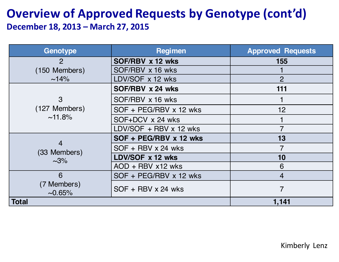#### **Overview of Approved Requests by Genotype (cont'd) December 18, 2013 – March 27, 2015**

| Genotype                          | <b>Regimen</b>            | <b>Approved Requests</b> |
|-----------------------------------|---------------------------|--------------------------|
| $\overline{2}$                    | SOF/RBV x 12 wks          | 155                      |
| (150 Members)                     | SOF/RBV x 16 wks          |                          |
| $~14\%$                           | LDV/SOF x 12 wks          | 2                        |
|                                   | SOF/RBV x 24 wks          | 111                      |
| 3                                 | SOF/RBV x 16 wks          |                          |
| (127 Members)                     | SOF + PEG/RBV x 12 wks    | 12                       |
| $~11.8\%$                         | SOF+DCV x 24 wks          |                          |
|                                   | LDV/SOF + RBV x 12 wks    |                          |
| 4<br>(33 Members)<br>$\sim 3\%$   | SOF + PEG/RBV x 12 wks    | 13                       |
|                                   | $SOF + RBV \times 24$ wks |                          |
|                                   | LDV/SOF x 12 wks          | 10                       |
|                                   | $AOD + RBV x12 wks$       | 6                        |
| 6<br>(7 Members)<br>$\sim 0.65\%$ | SOF + PEG/RBV x 12 wks    | 4                        |
|                                   | $SOF + RBV \times 24$ wks | 7                        |
| <b>Total</b>                      |                           | 1,141                    |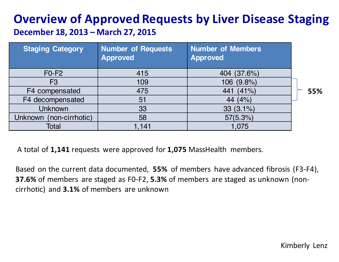## **Overview of Approved Requests by Liver Disease Staging**

| December 18, 2013 – March 27, 2015 |  |
|------------------------------------|--|
|------------------------------------|--|

| <b>Staging Category</b> | <b>Number of Requests</b><br><b>Approved</b> | <b>Number of Members</b><br><b>Approved</b> |     |
|-------------------------|----------------------------------------------|---------------------------------------------|-----|
| $F0-F2$                 | 415                                          | 404 (37.6%)                                 |     |
| F <sub>3</sub>          | 109                                          | 106 (9.8%)                                  |     |
| F4 compensated          | 475                                          | (41%<br>441                                 | 55% |
| F4 decompensated        | 51                                           | (4% )<br>44                                 |     |
| <b>Unknown</b>          | 33                                           | $33(3.1\%)$                                 |     |
| Unknown (non-cirrhotic) | 58                                           | 57(5.3%)                                    |     |
| Total                   | 1,141                                        | 1,075                                       |     |

A total of **1,141** requests were approved for **1,075** MassHealth members.

Based on the current data documented, **55%** of members have advanced fibrosis (F3-F4), **37.6%** of members are staged as F0-F2, **5.3%** of members are staged as unknown (noncirrhotic) and **3.1%** of members are unknown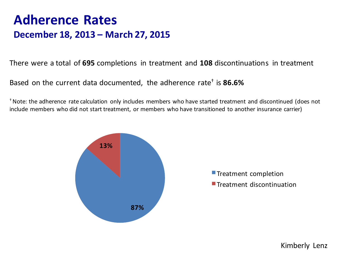### **Adherence Rates December 18, 2013 – March 27, 2015**

There were a total of **695** completions in treatment and **108** discontinuations in treatment

Based on the current data documented, the adherence rate† is **86.6%**

† Note: the adherence rate calculation only includes members who have started treatment and discontinued (does not include members who did not start treatment, or members who have transitioned to another insurance carrier)



Kimberly Lenz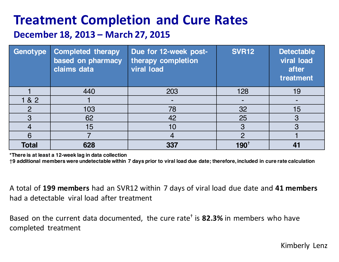## **Treatment Completion and Cure Rates**

#### **December 18, 2013 – March 27, 2015**

| Genotype      | <b>Completed therapy</b><br>based on pharmacy<br>claims data | Due for 12-week post-<br>therapy completion<br><b>viral load</b> | <b>SVR12</b>     | <b>Detectable</b><br><b>viral load</b><br>after<br>treatment |
|---------------|--------------------------------------------------------------|------------------------------------------------------------------|------------------|--------------------------------------------------------------|
|               | 440                                                          | 203                                                              | 128              | 19                                                           |
| 1 & 2         |                                                              |                                                                  |                  |                                                              |
| $\mathcal{P}$ | 103                                                          | 78                                                               | 32               | 15                                                           |
| 3             | 62                                                           | 42                                                               | 25               | 3                                                            |
| 4             | 15                                                           | 10                                                               | 3                | 3                                                            |
| 6             |                                                              |                                                                  |                  |                                                              |
| <b>Total</b>  | 628                                                          | 337                                                              | 190 <sup>1</sup> |                                                              |

**\*There is at least a 12-week lag in data collection**

†**9 additional members were undetectable within 7 days prior to viral load due date; therefore, included in cure rate calculation**

A total of **199 members** had an SVR12 within 7 days of viral load due date and **41 members**  had a detectable viral load after treatment

Based on the current data documented, the cure rate† is **82.3%** in members who have completed treatment

Kimberly Lenz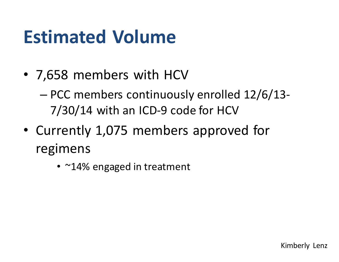# **Estimated Volume**

- 7,658 members with HCV
	- PCC members continuously enrolled 12/6/13- 7/30/14 with an ICD-9 code for HCV
- Currently 1,075 members approved for regimens
	- ~14% engaged in treatment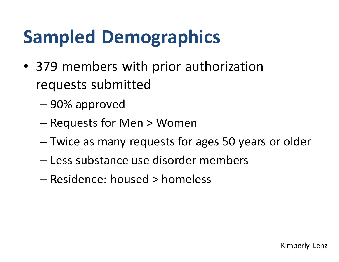# **Sampled Demographics**

- 379 members with prior authorization requests submitted
	- 90% approved
	- Requests for Men > Women
	- Twice as many requests for ages 50 years or older
	- Less substance use disorder members
	- Residence: housed > homeless